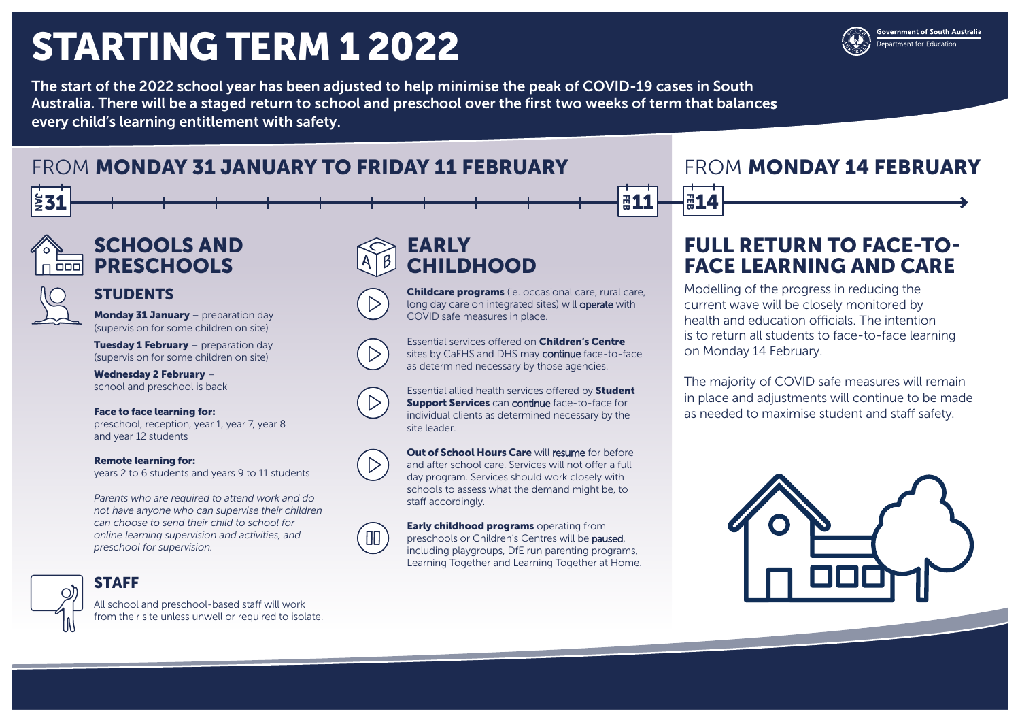# STARTING TERM 1 2022

The start of the 2022 school year has been adjusted to help minimise the peak of COVID-19 cases in South Australia. There will be a staged return to school and preschool over the first two weeks of term that balances every child's learning entitlement with safety.

# FROM MONDAY 31 JANUARY TO FRIDAY 11 FEBRUARY **FROM MONDAY 14 FEBRUARY**

# EARLY CHILDHOOD

Essential allied health services offered by **Student Support Services** can continue face-to-face for individual clients as determined necessary by the site leader.

Childcare programs (ie. occasional care, rural care, long day care on integrated sites) will operate with COVID safe measures in place.

**Out of School Hours Care will resume for before** and after school care. Services will not offer a full day program. Services should work closely with schools to assess what the demand might be, to staff accordingly.

Essential services offered on Children's Centre sites by CaFHS and DHS may continue face-to-face as determined necessary by those agencies.



 $\Box$ 

**Early childhood programs** operating from preschools or Children's Centres will be paused, including playgroups, DfE run parenting programs, Learning Together and Learning Together at Home.

# SCHOOLS AND **PRESCHOOLS**

## **STUDENTS**

Monday 31 January - preparation day (supervision for some children on site)

**Tuesday 1 February** – preparation day (supervision for some children on site)

# FULL RETURN TO FACE-TO-FACE LEARNING AND CARE

Modelling of the progress in reducing the current wave will be closely monitored by health and education officials. The intention is to return all students to face-to-face learning on Monday 14 February.

The majority of COVID safe measures will remain in place and adjustments will continue to be made as needed to maximise student and staff safety.





**Government of South Australia** epartment for Education

Wednesday 2 February – school and preschool is back

### Face to face learning for:

preschool, reception, year 1, year 7, year 8 and year 12 students

### Remote learning for:

years 2 to 6 students and years 9 to 11 students

*Parents who are required to attend work and do not have anyone who can supervise their children can choose to send their child to school for online learning supervision and activities, and preschool for supervision.* 



## **STAFF**

All school and preschool-based staff will work from their site unless unwell or required to isolate.



**a11** 



∑31